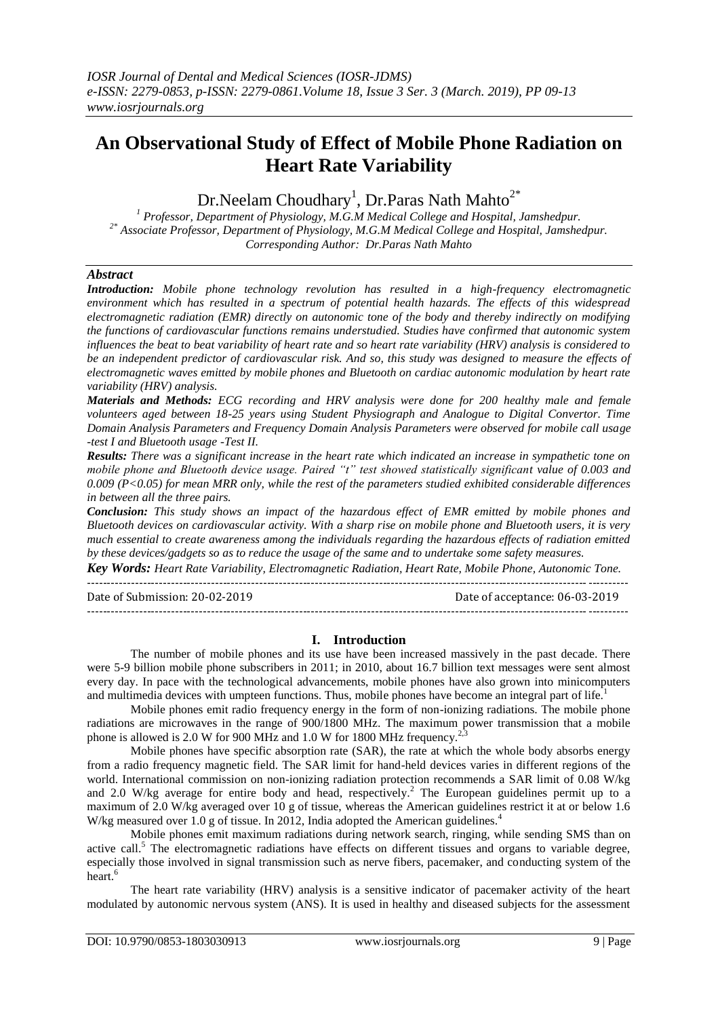# **An Observational Study of Effect of Mobile Phone Radiation on Heart Rate Variability**

Dr.Neelam Choudhary $^1$ , Dr.Paras Nath Mahto $^{2^\ast}$ 

*<sup>1</sup> Professor, Department of Physiology, M.G.M Medical College and Hospital, Jamshedpur. 2\* Associate Professor, Department of Physiology, M.G.M Medical College and Hospital, Jamshedpur. Corresponding Author: Dr.Paras Nath Mahto*

# *Abstract*

*Introduction: Mobile phone technology revolution has resulted in a high-frequency electromagnetic environment which has resulted in a spectrum of potential health hazards. The effects of this widespread electromagnetic radiation (EMR) directly on autonomic tone of the body and thereby indirectly on modifying the functions of cardiovascular functions remains understudied. Studies have confirmed that autonomic system influences the beat to beat variability of heart rate and so heart rate variability (HRV) analysis is considered to be an independent predictor of cardiovascular risk. And so, this study was designed to measure the effects of electromagnetic waves emitted by mobile phones and Bluetooth on cardiac autonomic modulation by heart rate variability (HRV) analysis.*

*Materials and Methods: ECG recording and HRV analysis were done for 200 healthy male and female volunteers aged between 18-25 years using Student Physiograph and Analogue to Digital Convertor. Time Domain Analysis Parameters and Frequency Domain Analysis Parameters were observed for mobile call usage -test I and Bluetooth usage -Test II.*

*Results: There was a significant increase in the heart rate which indicated an increase in sympathetic tone on mobile phone and Bluetooth device usage. Paired "t" test showed statistically significant value of 0.003 and 0.009 (P<0.05) for mean MRR only, while the rest of the parameters studied exhibited considerable differences in between all the three pairs.*

*Conclusion: This study shows an impact of the hazardous effect of EMR emitted by mobile phones and Bluetooth devices on cardiovascular activity. With a sharp rise on mobile phone and Bluetooth users, it is very much essential to create awareness among the individuals regarding the hazardous effects of radiation emitted by these devices/gadgets so as to reduce the usage of the same and to undertake some safety measures.*

*Key Words: Heart Rate Variability, Electromagnetic Radiation, Heart Rate, Mobile Phone, Autonomic Tone.*

Date of Submission: 20-02-2019 Date of acceptance: 06-03-2019 ---------------------------------------------------------------------------------------------------------------------------------------

# **I. Introduction**

The number of mobile phones and its use have been increased massively in the past decade. There were 5-9 billion mobile phone subscribers in 2011; in 2010, about 16.7 billion text messages were sent almost every day. In pace with the technological advancements, mobile phones have also grown into minicomputers and multimedia devices with umpteen functions. Thus, mobile phones have become an integral part of life.

Mobile phones emit radio frequency energy in the form of non-ionizing radiations. The mobile phone radiations are microwaves in the range of 900/1800 MHz. The maximum power transmission that a mobile phone is allowed is 2.0 W for 900 MHz and 1.0 W for 1800 MHz frequency.<sup>2,3</sup>

Mobile phones have specific absorption rate (SAR), the rate at which the whole body absorbs energy from a radio frequency magnetic field. The SAR limit for hand-held devices varies in different regions of the world. International commission on non-ionizing radiation protection recommends a SAR limit of 0.08 W/kg and 2.0 W/kg average for entire body and head, respectively.<sup>2</sup> The European guidelines permit up to a maximum of 2.0 W/kg averaged over 10 g of tissue, whereas the American guidelines restrict it at or below 1.6 W/kg measured over 1.0 g of tissue. In 2012, India adopted the American guidelines.<sup>4</sup>

Mobile phones emit maximum radiations during network search, ringing, while sending SMS than on active call.<sup>5</sup> The electromagnetic radiations have effects on different tissues and organs to variable degree, especially those involved in signal transmission such as nerve fibers, pacemaker, and conducting system of the heart.<sup>6</sup>

The heart rate variability (HRV) analysis is a sensitive indicator of pacemaker activity of the heart modulated by autonomic nervous system (ANS). It is used in healthy and diseased subjects for the assessment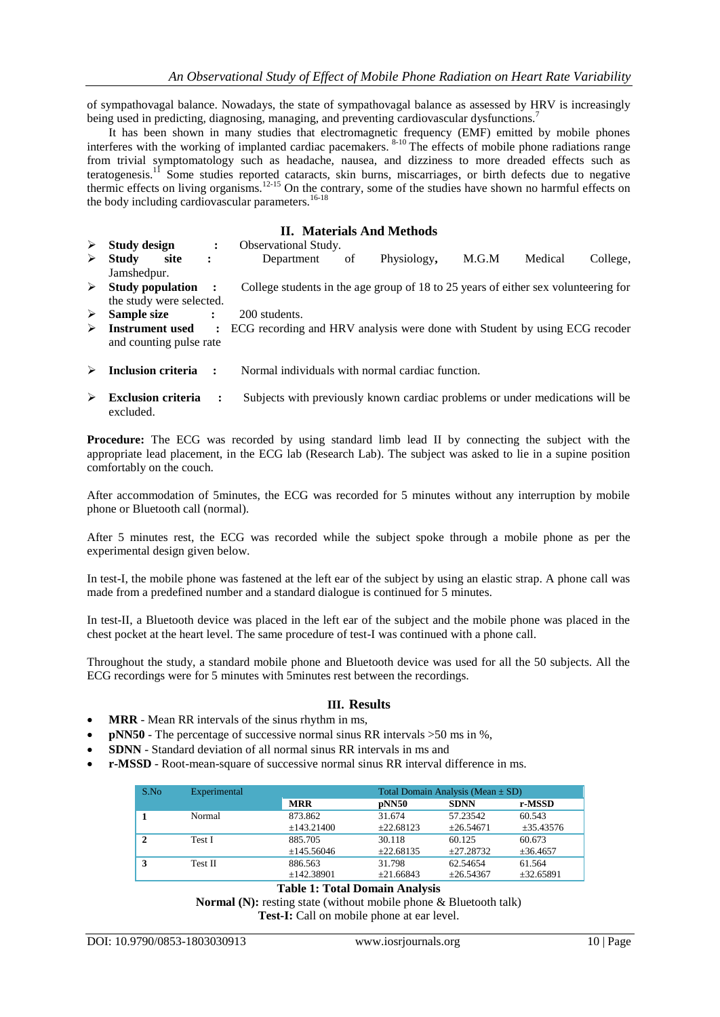of sympathovagal balance. Nowadays, the state of sympathovagal balance as assessed by HRV is increasingly being used in predicting, diagnosing, managing, and preventing cardiovascular dysfunctions.<sup>7</sup>

It has been shown in many studies that electromagnetic frequency (EMF) emitted by mobile phones interferes with the working of implanted cardiac pacemakers. <sup>8-10</sup> The effects of mobile phone radiations range from trivial symptomatology such as headache, nausea, and dizziness to more dreaded effects such as teratogenesis.<sup>11</sup> Some studies reported cataracts, skin burns, miscarriages, or birth defects due to negative thermic effects on living organisms.<sup>12-15</sup> On the contrary, some of the studies have shown no harmful effects on the body including cardiovascular parameters.<sup>16-18</sup>

## **II. Materials And Methods**

- **Study design :** Observational Study.<br> **Study site :** Department **Study site :** Department of Physiology**,** M.G.M Medical College, Jamshedpur. **Study population :** College students in the age group of 18 to 25 years of either sex volunteering for the study were selected.
- **Sample size :** 200 students.
- **Instrument used :** ECG recording and HRV analysis were done with Student by using ECG recoder and counting pulse rate
- **Inclusion criteria :** Normal individuals with normal cardiac function.
- **Exclusion criteria :** Subjects with previously known cardiac problems or under medications will be excluded.

**Procedure:** The ECG was recorded by using standard limb lead II by connecting the subject with the appropriate lead placement, in the ECG lab (Research Lab). The subject was asked to lie in a supine position comfortably on the couch.

After accommodation of 5minutes, the ECG was recorded for 5 minutes without any interruption by mobile phone or Bluetooth call (normal).

After 5 minutes rest, the ECG was recorded while the subject spoke through a mobile phone as per the experimental design given below.

In test-I, the mobile phone was fastened at the left ear of the subject by using an elastic strap. A phone call was made from a predefined number and a standard dialogue is continued for 5 minutes.

In test-II, a Bluetooth device was placed in the left ear of the subject and the mobile phone was placed in the chest pocket at the heart level. The same procedure of test-I was continued with a phone call.

Throughout the study, a standard mobile phone and Bluetooth device was used for all the 50 subjects. All the ECG recordings were for 5 minutes with 5minutes rest between the recordings.

#### **III. Results**

- **MRR**  Mean RR intervals of the sinus rhythm in ms,
- **pNN50**  The percentage of successive normal sinus RR intervals >50 ms in %,
- **SDNN**  Standard deviation of all normal sinus RR intervals in ms and
- **r-MSSD**  Root-mean-square of successive normal sinus RR interval difference in ms.

| S.No | Experimental | Total Domain Analysis (Mean $\pm$ SD) |           |             |                |
|------|--------------|---------------------------------------|-----------|-------------|----------------|
|      |              | <b>MRR</b>                            | pNN50     | <b>SDNN</b> | r-MSSD         |
|      | Normal       | 873.862                               | 31.674    | 57.23542    | 60.543         |
|      |              | ±143.21400                            | ±22.68123 | ±26.54671   | $\pm 35.43576$ |
| 2    | Test I       | 885.705                               | 30.118    | 60.125      | 60.673         |
|      |              | ±145.56046                            | ±22.68135 | ±27.28732   | $\pm 36.4657$  |
|      | Test II      | 886.563                               | 31.798    | 62.54654    | 61.564         |
|      |              | ±142.38901                            | ±21.66843 | ±26.54367   | $\pm$ 32.65891 |

#### **Table 1: Total Domain Analysis**

**Normal (N):** resting state (without mobile phone & Bluetooth talk)

**Test-I:** Call on mobile phone at ear level.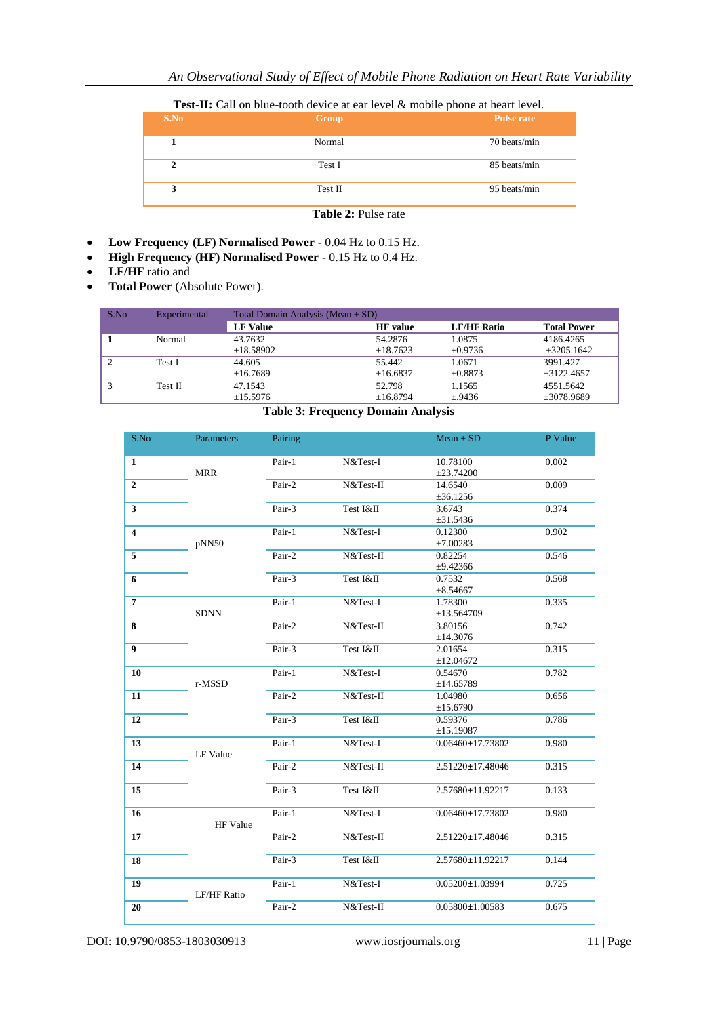# **Test-II:** Call on blue-tooth device at ear level & mobile phone at heart level.

| S.No                       | Group   | <b>Pulse rate</b> |  |
|----------------------------|---------|-------------------|--|
|                            | Normal  | 70 beats/min      |  |
| $\mathbf{2}$               | Test I  | 85 beats/min      |  |
| 3                          | Test II | 95 beats/min      |  |
| <b>Table 2: Pulse rate</b> |         |                   |  |

- **Low Frequency (LF) Normalised Power -** 0.04 Hz to 0.15 Hz.
- **High Frequency (HF) Normalised Power -** 0.15 Hz to 0.4 Hz.
- **LF/HF** ratio and
- **Total Power** (Absolute Power).

| S.No | Experimental | Total Domain Analysis (Mean $\pm$ SD) |                 |                    |                    |
|------|--------------|---------------------------------------|-----------------|--------------------|--------------------|
|      |              | <b>LF Value</b>                       | <b>HF</b> value | <b>LF/HF Ratio</b> | <b>Total Power</b> |
|      | Normal       | 43.7632                               | 54.2876         | 1.0875             | 4186.4265          |
|      |              | ±18.58902                             | ±18.7623        | $\pm 0.9736$       | $\pm 3205.1642$    |
|      | Test I       | 44.605                                | 55.442          | 1.0671             | 3991.427           |
|      |              | ±16.7689                              | ±16.6837        | $\pm 0.8873$       | $\pm$ 3122.4657    |
|      | Test II      | 47.1543                               | 52.798          | 1.1565             | 4551.5642          |
|      |              | ±15.5976                              | ±16.8794        | ±.9436             | $\pm 3078.9689$    |

#### **Table 3: Frequency Domain Analysis**

| S.No                    | Parameters         | Pairing |             | $Mean \pm SD$           | P Value |
|-------------------------|--------------------|---------|-------------|-------------------------|---------|
| $\mathbf{1}$            | <b>MRR</b>         | Pair-1  | N&Test-I    | 10.78100<br>±23.74200   | 0.002   |
| $\overline{2}$          |                    | Pair-2  | $N&Test-II$ | 14.6540<br>±36.1256     | 0.009   |
| 3                       |                    | Pair-3  | Test I&II   | 3.6743<br>±31.5436      | 0.374   |
| $\overline{\mathbf{4}}$ | pNN50              | Pair-1  | N&Test-I    | 0.12300<br>±7.00283     | 0.902   |
| $\overline{5}$          |                    | Pair-2  | $N&Test-II$ | 0.82254<br>±9.42366     | 0.546   |
| 6                       |                    | Pair-3  | Test I&II   | 0.7532<br>$\pm 8.54667$ | 0.568   |
| $\overline{7}$          | <b>SDNN</b>        | Pair-1  | N&Test-I    | 1.78300<br>±13.564709   | 0.335   |
| 8                       |                    | Pair-2  | N&Test-II   | 3.80156<br>±14.3076     | 0.742   |
| $\overline{9}$          |                    | Pair-3  | Test I&II   | 2.01654<br>±12.04672    | 0.315   |
| 10                      | r-MSSD             | Pair-1  | N&Test-I    | 0.54670<br>±14.65789    | 0.782   |
| 11                      |                    | Pair-2  | $N&Test-II$ | 1.04980<br>±15.6790     | 0.656   |
| 12                      |                    | Pair-3  | Test I&II   | 0.59376<br>±15.19087    | 0.786   |
| 13                      | <b>LF Value</b>    | Pair-1  | N&Test-I    | $0.06460 \pm 17.73802$  | 0.980   |
| 14                      |                    | Pair-2  | N&Test-II   | 2.51220±17.48046        | 0.315   |
| 15                      |                    | Pair-3  | Test I&II   | 2.57680±11.92217        | 0.133   |
| 16                      | <b>HF Value</b>    | Pair-1  | N&Test-I    | $0.06460 \pm 17.73802$  | 0.980   |
| 17                      |                    | Pair-2  | N&Test-II   | 2.51220±17.48046        | 0.315   |
| 18                      |                    | Pair-3  | Test I&II   | 2.57680±11.92217        | 0.144   |
| 19                      | <b>LF/HF Ratio</b> | Pair-1  | N&Test-I    | $0.05200 \pm 1.03994$   | 0.725   |
| 20                      |                    | Pair-2  | $N&Test-II$ | $0.05800 \pm 1.00583$   | 0.675   |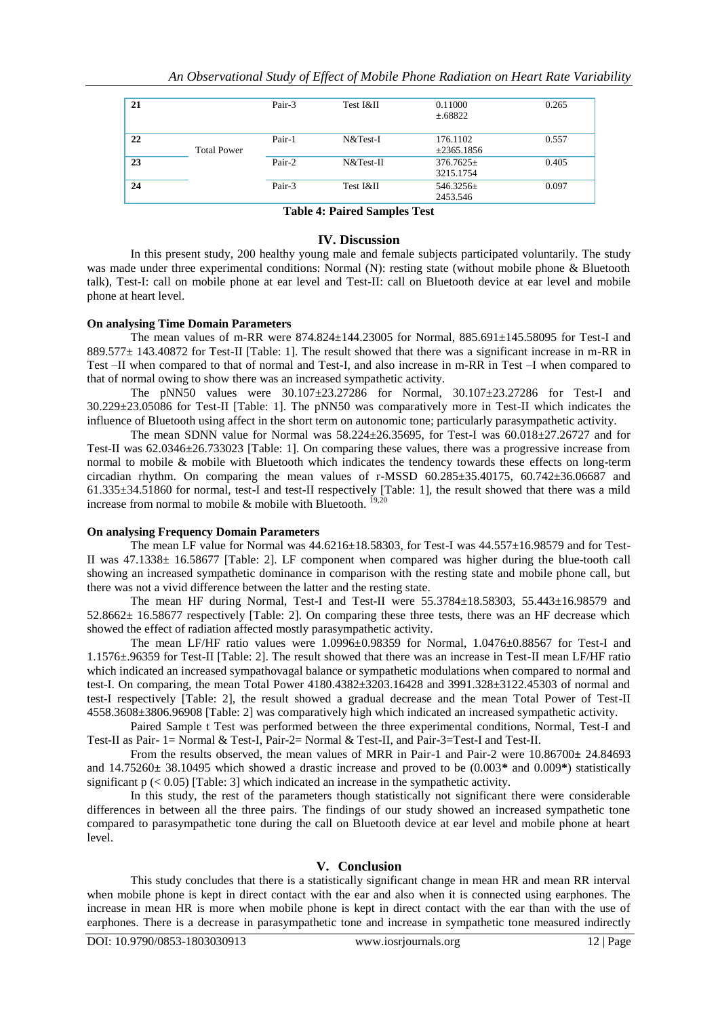| 21 |                    | Pair-3 | Test I&II | 0.11000<br>±.68822          | 0.265 |
|----|--------------------|--------|-----------|-----------------------------|-------|
| 22 | <b>Total Power</b> | Pair-1 | N&Test-I  | 176.1102<br>$\pm 2365.1856$ | 0.557 |
| 23 |                    | Pair-2 | N&Test-II | $376.7625 \pm$<br>3215.1754 | 0.405 |
| 24 |                    | Pair-3 | Test I&II | 546.3256 $\pm$<br>2453.546  | 0.097 |

**Table 4: Paired Samples Test**

#### **IV. Discussion**

In this present study, 200 healthy young male and female subjects participated voluntarily. The study was made under three experimental conditions: Normal (N): resting state (without mobile phone & Bluetooth talk), Test-I: call on mobile phone at ear level and Test-II: call on Bluetooth device at ear level and mobile phone at heart level.

### **On analysing Time Domain Parameters**

The mean values of m-RR were  $874.824 \pm 144.23005$  for Normal,  $885.691 \pm 145.58095$  for Test-I and 889.577± 143.40872 for Test-II [Table: 1]. The result showed that there was a significant increase in m-RR in Test –II when compared to that of normal and Test-I, and also increase in m-RR in Test –I when compared to that of normal owing to show there was an increased sympathetic activity.

The pNN50 values were  $30.107 \pm 23.27286$  for Normal,  $30.107 \pm 23.27286$  for Test-I and 30.229±23.05086 for Test-II [Table: 1]. The pNN50 was comparatively more in Test-II which indicates the influence of Bluetooth using affect in the short term on autonomic tone; particularly parasympathetic activity.

The mean SDNN value for Normal was  $58.224 \pm 26.35695$ , for Test-I was  $60.018 \pm 27.26727$  and for Test-II was 62.0346±26.733023 [Table: 1]. On comparing these values, there was a progressive increase from normal to mobile & mobile with Bluetooth which indicates the tendency towards these effects on long-term circadian rhythm. On comparing the mean values of r-MSSD  $60.285\pm 35.40175$ ,  $60.742\pm 36.06687$  and 61.335±34.51860 for normal, test-I and test-II respectively [Table: 1], the result showed that there was a mild increase from normal to mobile  $&$  mobile with Bluetooth.

#### **On analysing Frequency Domain Parameters**

The mean LF value for Normal was  $44.6216 \pm 18.58303$ , for Test-I was  $44.557 \pm 16.98579$  and for Test-II was 47.1338± 16.58677 [Table: 2]. LF component when compared was higher during the blue-tooth call showing an increased sympathetic dominance in comparison with the resting state and mobile phone call, but there was not a vivid difference between the latter and the resting state.

The mean HF during Normal, Test-I and Test-II were 55.3784±18.58303, 55.443±16.98579 and 52.8662± 16.58677 respectively [Table: 2]. On comparing these three tests, there was an HF decrease which showed the effect of radiation affected mostly parasympathetic activity.

The mean LF/HF ratio values were  $1.0996\pm0.98359$  for Normal,  $1.0476\pm0.88567$  for Test-I and 1.1576±.96359 for Test-II [Table: 2]. The result showed that there was an increase in Test-II mean LF/HF ratio which indicated an increased sympathovagal balance or sympathetic modulations when compared to normal and test-I. On comparing, the mean Total Power 4180.4382±3203.16428 and 3991.328±3122.45303 of normal and test-I respectively [Table: 2], the result showed a gradual decrease and the mean Total Power of Test-II 4558.3608±3806.96908 [Table: 2] was comparatively high which indicated an increased sympathetic activity.

Paired Sample t Test was performed between the three experimental conditions, Normal, Test-I and Test-II as Pair- 1= Normal & Test-I, Pair-2= Normal & Test-II, and Pair-3=Test-I and Test-II.

From the results observed, the mean values of MRR in Pair-1 and Pair-2 were 10.86700**±** 24.84693 and 14.75260**±** 38.10495 which showed a drastic increase and proved to be (0.003**\*** and 0.009**\***) statistically significant  $p \leq 0.05$  [Table: 3] which indicated an increase in the sympathetic activity.

In this study, the rest of the parameters though statistically not significant there were considerable differences in between all the three pairs. The findings of our study showed an increased sympathetic tone compared to parasympathetic tone during the call on Bluetooth device at ear level and mobile phone at heart level.

# **V. Conclusion**

This study concludes that there is a statistically significant change in mean HR and mean RR interval when mobile phone is kept in direct contact with the ear and also when it is connected using earphones. The increase in mean HR is more when mobile phone is kept in direct contact with the ear than with the use of earphones. There is a decrease in parasympathetic tone and increase in sympathetic tone measured indirectly